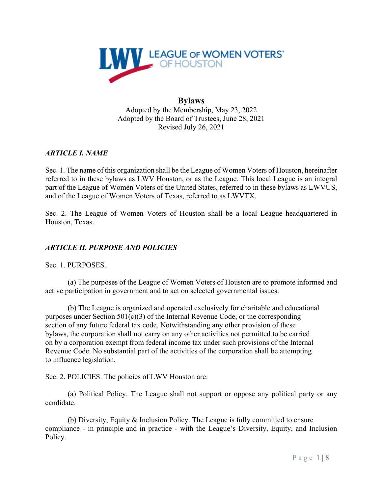

## **Bylaws** Adopted by the Membership, May 23, 2022 Adopted by the Board of Trustees, June 28, 2021 Revised July 26, 2021

# *ARTICLE I. NAME*

Sec. 1. The name of this organization shall be the League of Women Voters of Houston, hereinafter referred to in these bylaws as LWV Houston, or as the League. This local League is an integral part of the League of Women Voters of the United States, referred to in these bylaws as LWVUS, and of the League of Women Voters of Texas, referred to as LWVTX.

Sec. 2. The League of Women Voters of Houston shall be a local League headquartered in Houston, Texas.

## *ARTICLE II. PURPOSE AND POLICIES*

Sec. 1. PURPOSES.

(a) The purposes of the League of Women Voters of Houston are to promote informed and active participation in government and to act on selected governmental issues.

(b) The League is organized and operated exclusively for charitable and educational purposes under Section  $501(c)(3)$  of the Internal Revenue Code, or the corresponding section of any future federal tax code. Notwithstanding any other provision of these bylaws, the corporation shall not carry on any other activities not permitted to be carried on by a corporation exempt from federal income tax under such provisions of the Internal Revenue Code. No substantial part of the activities of the corporation shall be attempting to influence legislation.

Sec. 2. POLICIES. The policies of LWV Houston are:

(a) Political Policy. The League shall not support or oppose any political party or any candidate.

(b) Diversity, Equity & Inclusion Policy. The League is fully committed to ensure compliance - in principle and in practice - with the League's Diversity, Equity, and Inclusion Policy.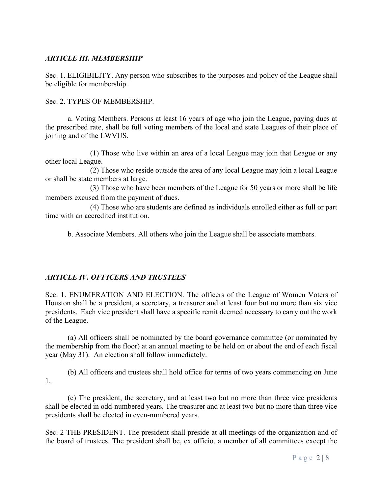## *ARTICLE III. MEMBERSHIP*

Sec. 1. ELIGIBILITY. Any person who subscribes to the purposes and policy of the League shall be eligible for membership.

Sec. 2. TYPES OF MEMBERSHIP.

a. Voting Members. Persons at least 16 years of age who join the League, paying dues at the prescribed rate, shall be full voting members of the local and state Leagues of their place of joining and of the LWVUS.

 (1) Those who live within an area of a local League may join that League or any other local League.

 (2) Those who reside outside the area of any local League may join a local League or shall be state members at large.

 (3) Those who have been members of the League for 50 years or more shall be life members excused from the payment of dues.

(4) Those who are students are defined as individuals enrolled either as full or part time with an accredited institution.

b. Associate Members. All others who join the League shall be associate members.

### *ARTICLE IV. OFFICERS AND TRUSTEES*

Sec. 1. ENUMERATION AND ELECTION. The officers of the League of Women Voters of Houston shall be a president, a secretary, a treasurer and at least four but no more than six vice presidents. Each vice president shall have a specific remit deemed necessary to carry out the work of the League.

(a) All officers shall be nominated by the board governance committee (or nominated by the membership from the floor) at an annual meeting to be held on or about the end of each fiscal year (May 31). An election shall follow immediately.

(b) All officers and trustees shall hold office for terms of two years commencing on June 1.

(c) The president, the secretary, and at least two but no more than three vice presidents shall be elected in odd-numbered years. The treasurer and at least two but no more than three vice presidents shall be elected in even-numbered years.

Sec. 2 THE PRESIDENT. The president shall preside at all meetings of the organization and of the board of trustees. The president shall be, ex officio, a member of all committees except the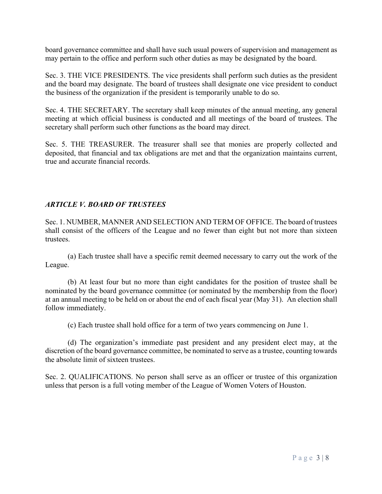board governance committee and shall have such usual powers of supervision and management as may pertain to the office and perform such other duties as may be designated by the board.

Sec. 3. THE VICE PRESIDENTS. The vice presidents shall perform such duties as the president and the board may designate. The board of trustees shall designate one vice president to conduct the business of the organization if the president is temporarily unable to do so.

Sec. 4. THE SECRETARY. The secretary shall keep minutes of the annual meeting, any general meeting at which official business is conducted and all meetings of the board of trustees. The secretary shall perform such other functions as the board may direct.

Sec. 5. THE TREASURER. The treasurer shall see that monies are properly collected and deposited, that financial and tax obligations are met and that the organization maintains current, true and accurate financial records.

# *ARTICLE V. BOARD OF TRUSTEES*

Sec. 1. NUMBER, MANNER AND SELECTION AND TERM OF OFFICE. The board of trustees shall consist of the officers of the League and no fewer than eight but not more than sixteen trustees.

(a) Each trustee shall have a specific remit deemed necessary to carry out the work of the League.

(b) At least four but no more than eight candidates for the position of trustee shall be nominated by the board governance committee (or nominated by the membership from the floor) at an annual meeting to be held on or about the end of each fiscal year (May 31). An election shall follow immediately.

(c) Each trustee shall hold office for a term of two years commencing on June 1.

(d) The organization's immediate past president and any president elect may, at the discretion of the board governance committee, be nominated to serve as a trustee, counting towards the absolute limit of sixteen trustees.

Sec. 2. QUALIFICATIONS. No person shall serve as an officer or trustee of this organization unless that person is a full voting member of the League of Women Voters of Houston.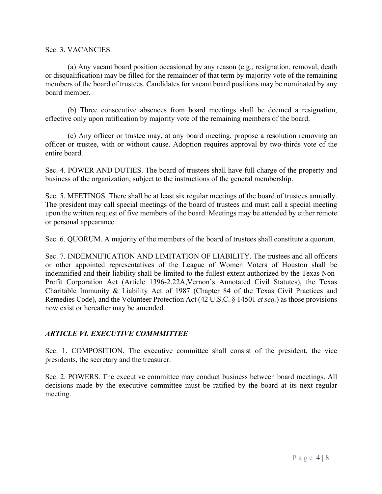Sec. 3. VACANCIES.

(a) Any vacant board position occasioned by any reason (e.g., resignation, removal, death or disqualification) may be filled for the remainder of that term by majority vote of the remaining members of the board of trustees. Candidates for vacant board positions may be nominated by any board member.

(b) Three consecutive absences from board meetings shall be deemed a resignation, effective only upon ratification by majority vote of the remaining members of the board.

(c) Any officer or trustee may, at any board meeting, propose a resolution removing an officer or trustee, with or without cause. Adoption requires approval by two-thirds vote of the entire board.

Sec. 4. POWER AND DUTIES. The board of trustees shall have full charge of the property and business of the organization, subject to the instructions of the general membership.

Sec. 5. MEETINGS. There shall be at least six regular meetings of the board of trustees annually. The president may call special meetings of the board of trustees and must call a special meeting upon the written request of five members of the board. Meetings may be attended by either remote or personal appearance.

Sec. 6. QUORUM. A majority of the members of the board of trustees shall constitute a quorum.

Sec. 7. INDEMNIFICATION AND LIMITATION OF LIABILITY. The trustees and all officers or other appointed representatives of the League of Women Voters of Houston shall be indemnified and their liability shall be limited to the fullest extent authorized by the Texas Non-Profit Corporation Act (Article 1396-2.22A,Vernon's Annotated Civil Statutes), the Texas Charitable Immunity & Liability Act of 1987 (Chapter 84 of the Texas Civil Practices and Remedies Code), and the Volunteer Protection Act (42 U.S.C. § 14501 *et seq.*) as those provisions now exist or hereafter may be amended.

### *ARTICLE VI. EXECUTIVE COMMMITTEE*

Sec. 1. COMPOSITION. The executive committee shall consist of the president, the vice presidents, the secretary and the treasurer.

Sec. 2. POWERS. The executive committee may conduct business between board meetings. All decisions made by the executive committee must be ratified by the board at its next regular meeting.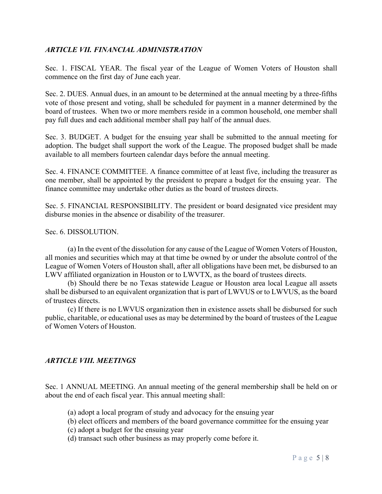### *ARTICLE VII. FINANCIAL ADMINISTRATION*

Sec. 1. FISCAL YEAR. The fiscal year of the League of Women Voters of Houston shall commence on the first day of June each year.

Sec. 2. DUES. Annual dues, in an amount to be determined at the annual meeting by a three-fifths vote of those present and voting, shall be scheduled for payment in a manner determined by the board of trustees. When two or more members reside in a common household, one member shall pay full dues and each additional member shall pay half of the annual dues.

Sec. 3. BUDGET. A budget for the ensuing year shall be submitted to the annual meeting for adoption. The budget shall support the work of the League. The proposed budget shall be made available to all members fourteen calendar days before the annual meeting.

Sec. 4. FINANCE COMMITTEE. A finance committee of at least five, including the treasurer as one member, shall be appointed by the president to prepare a budget for the ensuing year. The finance committee may undertake other duties as the board of trustees directs.

Sec. 5. FINANCIAL RESPONSIBILITY. The president or board designated vice president may disburse monies in the absence or disability of the treasurer.

Sec. 6. DISSOLUTION.

(a) In the event of the dissolution for any cause of the League of Women Voters of Houston, all monies and securities which may at that time be owned by or under the absolute control of the League of Women Voters of Houston shall, after all obligations have been met, be disbursed to an LWV affiliated organization in Houston or to LWVTX, as the board of trustees directs.

(b) Should there be no Texas statewide League or Houston area local League all assets shall be disbursed to an equivalent organization that is part of LWVUS or to LWVUS, as the board of trustees directs.

(c) If there is no LWVUS organization then in existence assets shall be disbursed for such public, charitable, or educational uses as may be determined by the board of trustees of the League of Women Voters of Houston.

### *ARTICLE VIII. MEETINGS*

Sec. 1 ANNUAL MEETING. An annual meeting of the general membership shall be held on or about the end of each fiscal year. This annual meeting shall:

- (a) adopt a local program of study and advocacy for the ensuing year
- (b) elect officers and members of the board governance committee for the ensuing year
- (c) adopt a budget for the ensuing year
- (d) transact such other business as may properly come before it.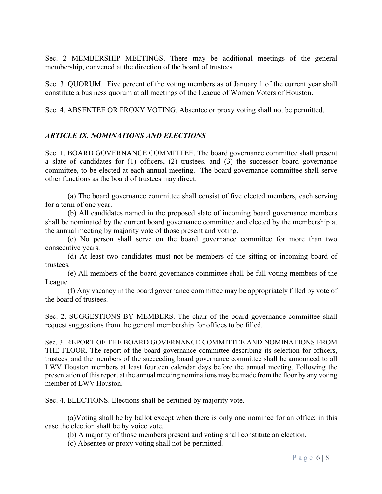Sec. 2 MEMBERSHIP MEETINGS. There may be additional meetings of the general membership, convened at the direction of the board of trustees.

Sec. 3. QUORUM. Five percent of the voting members as of January 1 of the current year shall constitute a business quorum at all meetings of the League of Women Voters of Houston.

Sec. 4. ABSENTEE OR PROXY VOTING. Absentee or proxy voting shall not be permitted.

### *ARTICLE IX. NOMINATIONS AND ELECTIONS*

Sec. 1. BOARD GOVERNANCE COMMITTEE. The board governance committee shall present a slate of candidates for (1) officers, (2) trustees, and (3) the successor board governance committee, to be elected at each annual meeting. The board governance committee shall serve other functions as the board of trustees may direct.

(a) The board governance committee shall consist of five elected members, each serving for a term of one year.

(b) All candidates named in the proposed slate of incoming board governance members shall be nominated by the current board governance committee and elected by the membership at the annual meeting by majority vote of those present and voting.

(c) No person shall serve on the board governance committee for more than two consecutive years.

(d) At least two candidates must not be members of the sitting or incoming board of trustees.

(e) All members of the board governance committee shall be full voting members of the League.

 (f) Any vacancy in the board governance committee may be appropriately filled by vote of the board of trustees.

Sec. 2. SUGGESTIONS BY MEMBERS. The chair of the board governance committee shall request suggestions from the general membership for offices to be filled.

Sec. 3. REPORT OF THE BOARD GOVERNANCE COMMITTEE AND NOMINATIONS FROM THE FLOOR. The report of the board governance committee describing its selection for officers, trustees, and the members of the succeeding board governance committee shall be announced to all LWV Houston members at least fourteen calendar days before the annual meeting. Following the presentation of this report at the annual meeting nominations may be made from the floor by any voting member of LWV Houston.

Sec. 4. ELECTIONS. Elections shall be certified by majority vote.

(a)Voting shall be by ballot except when there is only one nominee for an office; in this case the election shall be by voice vote.

(b) A majority of those members present and voting shall constitute an election.

(c) Absentee or proxy voting shall not be permitted.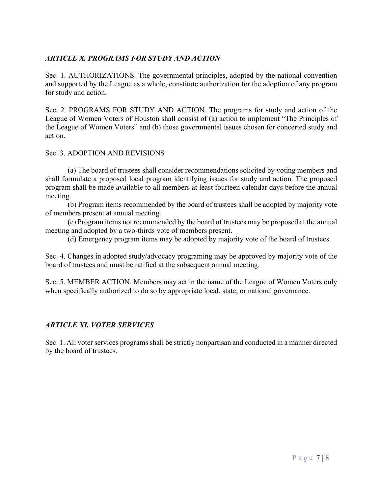# *ARTICLE X. PROGRAMS FOR STUDY AND ACTION*

Sec. 1. AUTHORIZATIONS. The governmental principles, adopted by the national convention and supported by the League as a whole, constitute authorization for the adoption of any program for study and action.

Sec. 2. PROGRAMS FOR STUDY AND ACTION. The programs for study and action of the League of Women Voters of Houston shall consist of (a) action to implement "The Principles of the League of Women Voters" and (b) those governmental issues chosen for concerted study and action.

#### Sec. 3. ADOPTION AND REVISIONS

(a) The board of trustees shall consider recommendations solicited by voting members and shall formulate a proposed local program identifying issues for study and action. The proposed program shall be made available to all members at least fourteen calendar days before the annual meeting.

(b) Program items recommended by the board of trustees shall be adopted by majority vote of members present at annual meeting.

(c) Program items not recommended by the board of trustees may be proposed at the annual meeting and adopted by a two-thirds vote of members present.

(d) Emergency program items may be adopted by majority vote of the board of trustees.

Sec. 4. Changes in adopted study/advocacy programing may be approved by majority vote of the board of trustees and must be ratified at the subsequent annual meeting.

Sec. 5. MEMBER ACTION. Members may act in the name of the League of Women Voters only when specifically authorized to do so by appropriate local, state, or national governance.

### *ARTICLE XI. VOTER SERVICES*

Sec. 1. All voter services programs shall be strictly nonpartisan and conducted in a manner directed by the board of trustees.